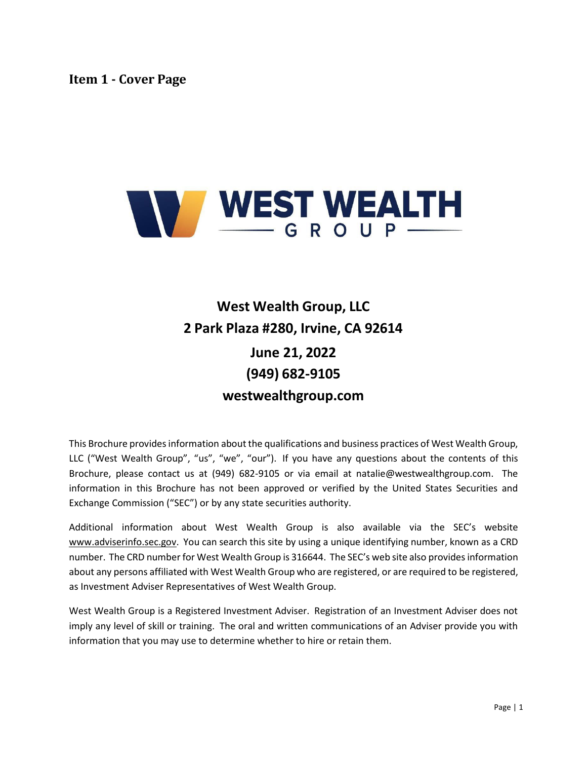<span id="page-0-0"></span>

# **West Wealth Group, LLC 2 Park Plaza #280, Irvine, CA 92614 June 21, 2022 (949) 682-9105 westwealthgroup.com**

This Brochure provides information about the qualifications and business practices of West Wealth Group, LLC ("West Wealth Group", "us", "we", "our"). If you have any questions about the contents of this Brochure, please contact us at (949) 682-9105 or via email at [natalie@westwealthgroup.com.](mailto:natalie@westwealthgroup.com) The information in this Brochure has not been approved or verified by the United States Securities and Exchange Commission ("SEC") or by any state securities authority.

Additional information about West Wealth Group is also available via the SEC's website [www.adviserinfo.sec.gov.](http://www.adviserinfo.sec.gov/) You can search this site by using a unique identifying number, known as a CRD number. The CRD number for West Wealth Group is 316644. The SEC's web site also providesinformation about any persons affiliated with West Wealth Group who are registered, or are required to be registered, as Investment Adviser Representatives of West Wealth Group.

West Wealth Group is a Registered Investment Adviser. Registration of an Investment Adviser does not imply any level of skill or training. The oral and written communications of an Adviser provide you with information that you may use to determine whether to hire or retain them.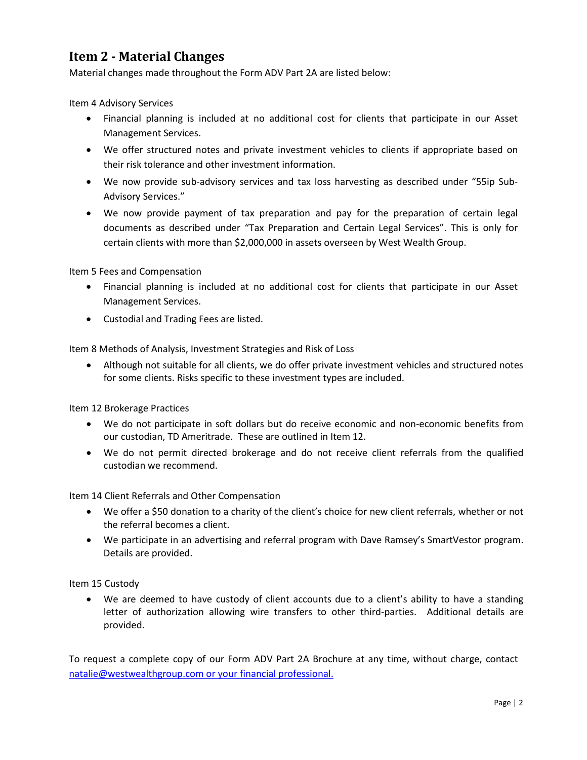# <span id="page-1-0"></span>**Item 2 - Material Changes**

Material changes made throughout the Form ADV Part 2A are listed below:

Item 4 Advisory Services

- Financial planning is included at no additional cost for clients that participate in our Asset Management Services.
- We offer structured notes and private investment vehicles to clients if appropriate based on their risk tolerance and other investment information.
- We now provide sub-advisory services and tax loss harvesting as described under "55ip Sub-Advisory Services."
- We now provide payment of tax preparation and pay for the preparation of certain legal documents as described under "Tax Preparation and Certain Legal Services". This is only for certain clients with more than \$2,000,000 in assets overseen by West Wealth Group.

Item 5 Fees and Compensation

- Financial planning is included at no additional cost for clients that participate in our Asset Management Services.
- Custodial and Trading Fees are listed.

Item 8 Methods of Analysis, Investment Strategies and Risk of Loss

• Although not suitable for all clients, we do offer private investment vehicles and structured notes for some clients. Risks specific to these investment types are included.

Item 12 Brokerage Practices

- We do not participate in soft dollars but do receive economic and non-economic benefits from our custodian, TD Ameritrade. These are outlined in Item 12.
- We do not permit directed brokerage and do not receive client referrals from the qualified custodian we recommend.

Item 14 Client Referrals and Other Compensation

- We offer a \$50 donation to a charity of the client's choice for new client referrals, whether or not the referral becomes a client.
- We participate in an advertising and referral program with Dave Ramsey's SmartVestor program. Details are provided.

Item 15 Custody

• We are deemed to have custody of client accounts due to a client's ability to have a standing letter of authorization allowing wire transfers to other third-parties. Additional details are provided.

To request a complete copy of our Form ADV Part 2A Brochure at any time, without charge, contact [natalie@westwealthgroup.com or your financial professional.](mailto:natalie@westwealthgroup.com%20or%20your%20financial%20professional.)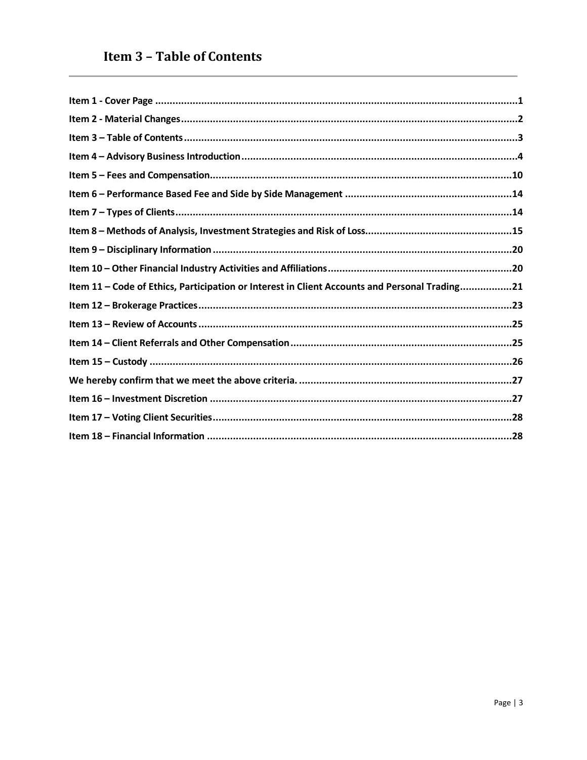<span id="page-2-0"></span>

| Item 11 - Code of Ethics, Participation or Interest in Client Accounts and Personal Trading21 |
|-----------------------------------------------------------------------------------------------|
|                                                                                               |
|                                                                                               |
|                                                                                               |
|                                                                                               |
|                                                                                               |
|                                                                                               |
|                                                                                               |
|                                                                                               |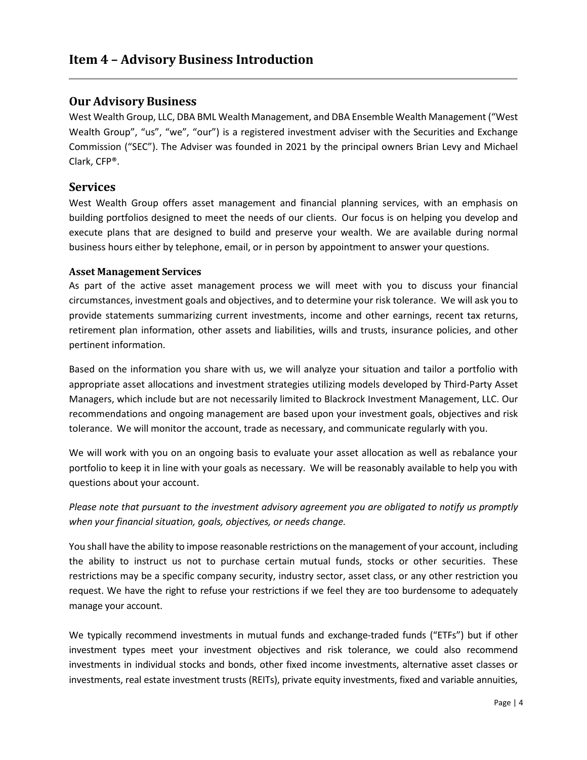### <span id="page-3-0"></span>**Our Advisory Business**

West Wealth Group, LLC, DBA BML Wealth Management, and DBA Ensemble Wealth Management ("West Wealth Group", "us", "we", "our") is a registered investment adviser with the Securities and Exchange Commission ("SEC"). The Adviser was founded in 2021 by the principal owners Brian Levy and Michael Clark, CFP®.

### **Services**

West Wealth Group offers asset management and financial planning services, with an emphasis on building portfolios designed to meet the needs of our clients. Our focus is on helping you develop and execute plans that are designed to build and preserve your wealth. We are available during normal business hours either by telephone, email, or in person by appointment to answer your questions.

#### **Asset Management Services**

As part of the active asset management process we will meet with you to discuss your financial circumstances, investment goals and objectives, and to determine your risk tolerance. We will ask you to provide statements summarizing current investments, income and other earnings, recent tax returns, retirement plan information, other assets and liabilities, wills and trusts, insurance policies, and other pertinent information.

Based on the information you share with us, we will analyze your situation and tailor a portfolio with appropriate asset allocations and investment strategies utilizing models developed by Third-Party Asset Managers, which include but are not necessarily limited to Blackrock Investment Management, LLC. Our recommendations and ongoing management are based upon your investment goals, objectives and risk tolerance. We will monitor the account, trade as necessary, and communicate regularly with you.

We will work with you on an ongoing basis to evaluate your asset allocation as well as rebalance your portfolio to keep it in line with your goals as necessary. We will be reasonably available to help you with questions about your account.

*Please note that pursuant to the investment advisory agreement you are obligated to notify us promptly when your financial situation, goals, objectives, or needs change.*

You shall have the ability to impose reasonable restrictions on the management of your account, including the ability to instruct us not to purchase certain mutual funds, stocks or other securities. These restrictions may be a specific company security, industry sector, asset class, or any other restriction you request. We have the right to refuse your restrictions if we feel they are too burdensome to adequately manage your account.

We typically recommend investments in mutual funds and exchange-traded funds ("ETFs") but if other investment types meet your investment objectives and risk tolerance, we could also recommend investments in individual stocks and bonds, other fixed income investments, alternative asset classes or investments, real estate investment trusts (REITs), private equity investments, fixed and variable annuities,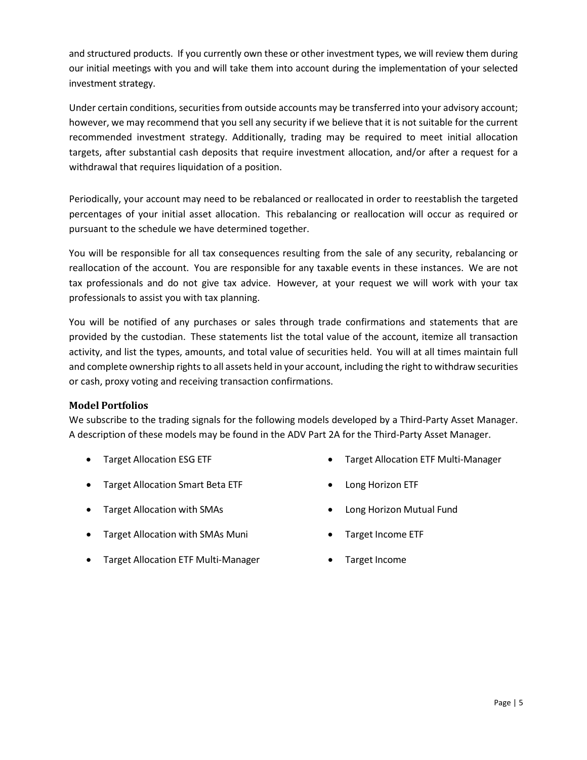and structured products. If you currently own these or other investment types, we will review them during our initial meetings with you and will take them into account during the implementation of your selected investment strategy.

Under certain conditions, securities from outside accounts may be transferred into your advisory account; however, we may recommend that you sell any security if we believe that it is not suitable for the current recommended investment strategy. Additionally, trading may be required to meet initial allocation targets, after substantial cash deposits that require investment allocation, and/or after a request for a withdrawal that requires liquidation of a position.

Periodically, your account may need to be rebalanced or reallocated in order to reestablish the targeted percentages of your initial asset allocation. This rebalancing or reallocation will occur as required or pursuant to the schedule we have determined together.

You will be responsible for all tax consequences resulting from the sale of any security, rebalancing or reallocation of the account. You are responsible for any taxable events in these instances. We are not tax professionals and do not give tax advice. However, at your request we will work with your tax professionals to assist you with tax planning.

You will be notified of any purchases or sales through trade confirmations and statements that are provided by the custodian. These statements list the total value of the account, itemize all transaction activity, and list the types, amounts, and total value of securities held. You will at all times maintain full and complete ownership rights to all assets held in your account, including the right to withdraw securities or cash, proxy voting and receiving transaction confirmations.

#### **Model Portfolios**

We subscribe to the trading signals for the following models developed by a Third-Party Asset Manager. A description of these models may be found in the ADV Part 2A for the Third-Party Asset Manager.

- Target Allocation ESG ETF
- Target Allocation Smart Beta ETF
- Target Allocation with SMAs
- Target Allocation with SMAs Muni
- Target Allocation ETF Multi-Manager
- Target Allocation ETF Multi-Manager
- Long Horizon ETF
- Long Horizon Mutual Fund
- Target Income ETF
- Target Income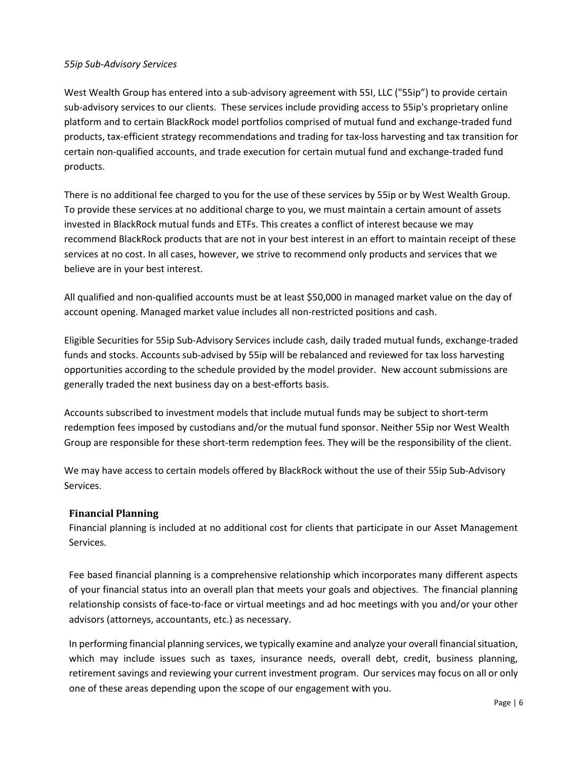#### *55ip Sub-Advisory Services*

West Wealth Group has entered into a sub-advisory agreement with 55I, LLC ("55ip") to provide certain sub-advisory services to our clients. These services include providing access to 55ip's proprietary online platform and to certain BlackRock model portfolios comprised of mutual fund and exchange-traded fund products, tax-efficient strategy recommendations and trading for tax-loss harvesting and tax transition for certain non-qualified accounts, and trade execution for certain mutual fund and exchange-traded fund products.

There is no additional fee charged to you for the use of these services by 55ip or by West Wealth Group. To provide these services at no additional charge to you, we must maintain a certain amount of assets invested in BlackRock mutual funds and ETFs. This creates a conflict of interest because we may recommend BlackRock products that are not in your best interest in an effort to maintain receipt of these services at no cost. In all cases, however, we strive to recommend only products and services that we believe are in your best interest.

All qualified and non-qualified accounts must be at least \$50,000 in managed market value on the day of account opening. Managed market value includes all non-restricted positions and cash.

Eligible Securities for 55ip Sub-Advisory Services include cash, daily traded mutual funds, exchange-traded funds and stocks. Accounts sub-advised by 55ip will be rebalanced and reviewed for tax loss harvesting opportunities according to the schedule provided by the model provider. New account submissions are generally traded the next business day on a best-efforts basis.

Accounts subscribed to investment models that include mutual funds may be subject to short-term redemption fees imposed by custodians and/or the mutual fund sponsor. Neither 55ip nor West Wealth Group are responsible for these short-term redemption fees. They will be the responsibility of the client.

We may have access to certain models offered by BlackRock without the use of their 55ip Sub-Advisory Services.

#### **Financial Planning**

Financial planning is included at no additional cost for clients that participate in our Asset Management Services.

Fee based financial planning is a comprehensive relationship which incorporates many different aspects of your financial status into an overall plan that meets your goals and objectives. The financial planning relationship consists of face-to-face or virtual meetings and ad hoc meetings with you and/or your other advisors (attorneys, accountants, etc.) as necessary.

In performing financial planning services, we typically examine and analyze your overall financialsituation, which may include issues such as taxes, insurance needs, overall debt, credit, business planning, retirement savings and reviewing your current investment program. Ourservices may focus on all or only one of these areas depending upon the scope of our engagement with you.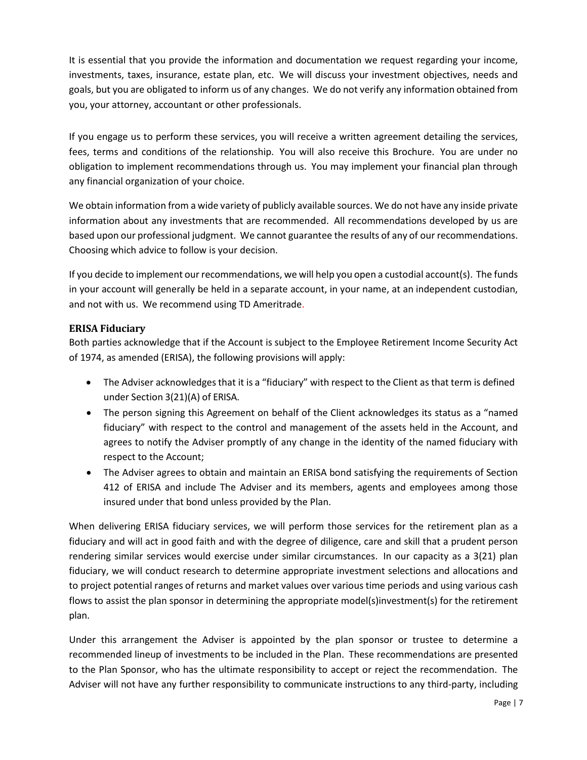It is essential that you provide the information and documentation we request regarding your income, investments, taxes, insurance, estate plan, etc. We will discuss your investment objectives, needs and goals, but you are obligated to inform us of any changes. We do not verify any information obtained from you, your attorney, accountant or other professionals.

If you engage us to perform these services, you will receive a written agreement detailing the services, fees, terms and conditions of the relationship. You will also receive this Brochure. You are under no obligation to implement recommendations through us. You may implement your financial plan through any financial organization of your choice.

We obtain information from a wide variety of publicly available sources. We do not have any inside private information about any investments that are recommended. All recommendations developed by us are based upon our professional judgment. We cannot guarantee the results of any of our recommendations. Choosing which advice to follow is your decision.

If you decide to implement our recommendations, we will help you open a custodial account(s). The funds in your account will generally be held in a separate account, in your name, at an independent custodian, and not with us. We recommend using TD Ameritrade.

### **ERISA Fiduciary**

Both parties acknowledge that if the Account is subject to the Employee Retirement Income Security Act of 1974, as amended (ERISA), the following provisions will apply:

- The Adviser acknowledges that it is a "fiduciary" with respect to the Client as that term is defined under Section 3(21)(A) of ERISA.
- The person signing this Agreement on behalf of the Client acknowledges its status as a "named fiduciary" with respect to the control and management of the assets held in the Account, and agrees to notify the Adviser promptly of any change in the identity of the named fiduciary with respect to the Account;
- The Adviser agrees to obtain and maintain an ERISA bond satisfying the requirements of Section 412 of ERISA and include The Adviser and its members, agents and employees among those insured under that bond unless provided by the Plan.

When delivering ERISA fiduciary services, we will perform those services for the retirement plan as a fiduciary and will act in good faith and with the degree of diligence, care and skill that a prudent person rendering similar services would exercise under similar circumstances. In our capacity as a 3(21) plan fiduciary, we will conduct research to determine appropriate investment selections and allocations and to project potential ranges of returns and market values over various time periods and using various cash flows to assist the plan sponsor in determining the appropriate model(s)investment(s) for the retirement plan.

Under this arrangement the Adviser is appointed by the plan sponsor or trustee to determine a recommended lineup of investments to be included in the Plan. These recommendations are presented to the Plan Sponsor, who has the ultimate responsibility to accept or reject the recommendation. The Adviser will not have any further responsibility to communicate instructions to any third-party, including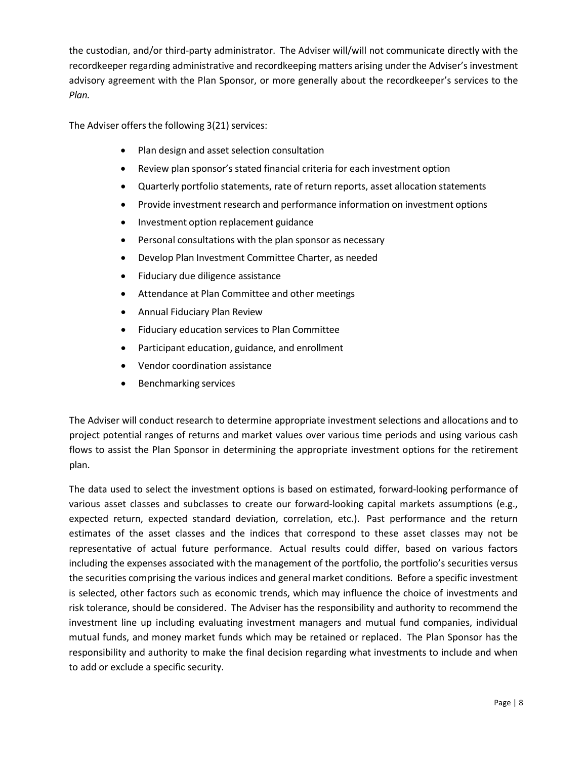the custodian, and/or third-party administrator. The Adviser will/will not communicate directly with the recordkeeper regarding administrative and recordkeeping matters arising under the Adviser's investment advisory agreement with the Plan Sponsor, or more generally about the recordkeeper's services to the *Plan.*

The Adviser offers the following 3(21) services:

- Plan design and asset selection consultation
- Review plan sponsor's stated financial criteria for each investment option
- Quarterly portfolio statements, rate of return reports, asset allocation statements
- Provide investment research and performance information on investment options
- Investment option replacement guidance
- Personal consultations with the plan sponsor as necessary
- Develop Plan Investment Committee Charter, as needed
- Fiduciary due diligence assistance
- Attendance at Plan Committee and other meetings
- Annual Fiduciary Plan Review
- Fiduciary education services to Plan Committee
- Participant education, guidance, and enrollment
- Vendor coordination assistance
- Benchmarking services

The Adviser will conduct research to determine appropriate investment selections and allocations and to project potential ranges of returns and market values over various time periods and using various cash flows to assist the Plan Sponsor in determining the appropriate investment options for the retirement plan.

The data used to select the investment options is based on estimated, forward-looking performance of various asset classes and subclasses to create our forward-looking capital markets assumptions (e.g., expected return, expected standard deviation, correlation, etc.). Past performance and the return estimates of the asset classes and the indices that correspond to these asset classes may not be representative of actual future performance. Actual results could differ, based on various factors including the expenses associated with the management of the portfolio, the portfolio's securities versus the securities comprising the various indices and general market conditions. Before a specific investment is selected, other factors such as economic trends, which may influence the choice of investments and risk tolerance, should be considered. The Adviser has the responsibility and authority to recommend the investment line up including evaluating investment managers and mutual fund companies, individual mutual funds, and money market funds which may be retained or replaced. The Plan Sponsor has the responsibility and authority to make the final decision regarding what investments to include and when to add or exclude a specific security.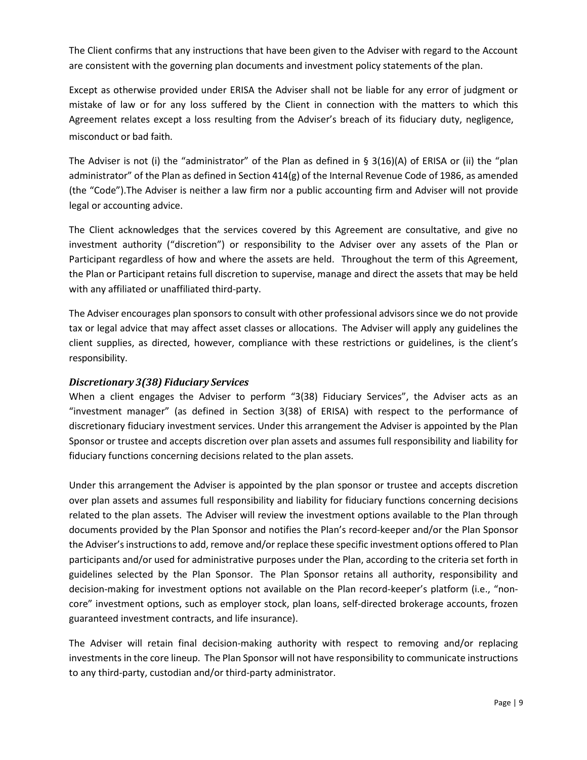The Client confirms that any instructions that have been given to the Adviser with regard to the Account are consistent with the governing plan documents and investment policy statements of the plan.

Except as otherwise provided under ERISA the Adviser shall not be liable for any error of judgment or mistake of law or for any loss suffered by the Client in connection with the matters to which this Agreement relates except a loss resulting from the Adviser's breach of its fiduciary duty, negligence, misconduct or bad faith.

The Adviser is not (i) the "administrator" of the Plan as defined in § 3(16)(A) of ERISA or (ii) the "plan administrator" of the Plan as defined in Section 414(g) of the Internal Revenue Code of 1986, as amended (the "Code").The Adviser is neither a law firm nor a public accounting firm and Adviser will not provide legal or accounting advice.

The Client acknowledges that the services covered by this Agreement are consultative, and give no investment authority ("discretion") or responsibility to the Adviser over any assets of the Plan or Participant regardless of how and where the assets are held. Throughout the term of this Agreement, the Plan or Participant retains full discretion to supervise, manage and direct the assets that may be held with any affiliated or unaffiliated third-party.

The Adviser encourages plan sponsorsto consult with other professional advisorssince we do not provide tax or legal advice that may affect asset classes or allocations. The Adviser will apply any guidelines the client supplies, as directed, however, compliance with these restrictions or guidelines, is the client's responsibility.

#### *Discretionary 3(38) Fiduciary Services*

When a client engages the Adviser to perform "3(38) Fiduciary Services", the Adviser acts as an "investment manager" (as defined in Section 3(38) of ERISA) with respect to the performance of discretionary fiduciary investment services. Under this arrangement the Adviser is appointed by the Plan Sponsor or trustee and accepts discretion over plan assets and assumes full responsibility and liability for fiduciary functions concerning decisions related to the plan assets.

Under this arrangement the Adviser is appointed by the plan sponsor or trustee and accepts discretion over plan assets and assumes full responsibility and liability for fiduciary functions concerning decisions related to the plan assets. The Adviser will review the investment options available to the Plan through documents provided by the Plan Sponsor and notifies the Plan's record-keeper and/or the Plan Sponsor the Adviser's instructions to add, remove and/or replace these specific investment options offered to Plan participants and/or used for administrative purposes under the Plan, according to the criteria set forth in guidelines selected by the Plan Sponsor. The Plan Sponsor retains all authority, responsibility and decision-making for investment options not available on the Plan record-keeper's platform (i.e., "noncore" investment options, such as employer stock, plan loans, self-directed brokerage accounts, frozen guaranteed investment contracts, and life insurance).

The Adviser will retain final decision-making authority with respect to removing and/or replacing investments in the core lineup. The Plan Sponsor will not have responsibility to communicate instructions to any third-party, custodian and/or third-party administrator.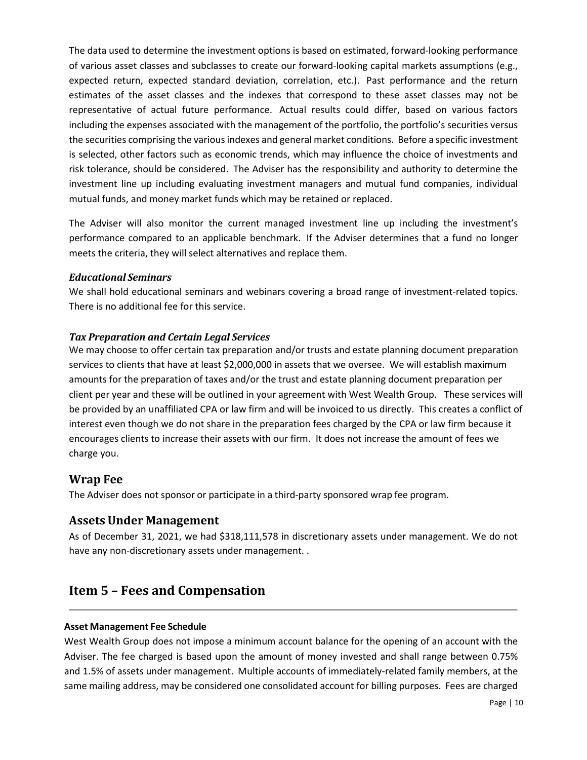The data used to determine the investment options is based on estimated, forward-looking performance of various asset classes and subclasses to create our forward-looking capital markets assumptions (e.g., expected return, expected standard deviation, correlation, etc.). Past performance and the return estimates of the asset classes and the indexes that correspond to these asset classes may not be representative of actual future performance. Actual results could differ, based on various factors including the expenses associated with the management of the portfolio, the portfolio's securities versus the securities comprising the various indexes and general market conditions. Before a specific investment is selected, other factors such as economic trends, which may influence the choice of investments and risk tolerance, should be considered. The Adviser has the responsibility and authority to determine the investment line up including evaluating investment managers and mutual fund companies, individual mutual funds, and money market funds which may be retained or replaced.

The Adviser will also monitor the current managed investment line up including the investment's performance compared to an applicable benchmark. If the Adviser determines that a fund no longer meets the criteria, they will select alternatives and replace them.

#### *Educational Seminars*

We shall hold educational seminars and webinars covering a broad range of investment-related topics. There is no additional fee for this service.

#### *Tax Preparation and Certain Legal Services*

We may choose to offer certain tax preparation and/or trusts and estate planning document preparation services to clients that have at least \$2,000,000 in assets that we oversee. We will establish maximum amounts for the preparation of taxes and/or the trust and estate planning document preparation per client per year and these will be outlined in your agreement with West Wealth Group. These services will be provided by an unaffiliated CPA or law firm and will be invoiced to us directly. This creates a conflict of interest even though we do not share in the preparation fees charged by the CPA or law firm because it encourages clients to increase their assets with our firm. It does not increase the amount of fees we charge you.

### **Wrap Fee**

The Adviser does not sponsor or participate in a third-party sponsored wrap fee program.

### **Assets Under Management**

As of December 31, 2021, we had \$318,111,578 in discretionary assets under management. We do not have any non-discretionary assets under management. .

# <span id="page-9-0"></span>**Item 5 – Fees and Compensation**

#### **Asset Management Fee Schedule**

West Wealth Group does not impose a minimum account balance for the opening of an account with the Adviser. The fee charged is based upon the amount of money invested and shall range between 0.75% and 1.5% of assets under management. Multiple accounts of immediately-related family members, at the same mailing address, may be considered one consolidated account for billing purposes. Fees are charged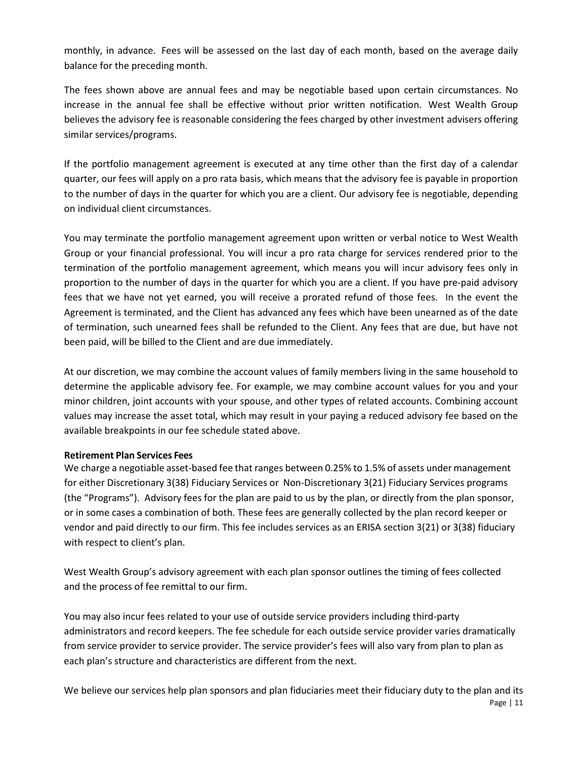monthly, in advance. Fees will be assessed on the last day of each month, based on the average daily balance for the preceding month.

The fees shown above are annual fees and may be negotiable based upon certain circumstances. No increase in the annual fee shall be effective without prior written notification. West Wealth Group believes the advisory fee is reasonable considering the fees charged by other investment advisers offering similar services/programs.

If the portfolio management agreement is executed at any time other than the first day of a calendar quarter, our fees will apply on a pro rata basis, which means that the advisory fee is payable in proportion to the number of days in the quarter for which you are a client. Our advisory fee is negotiable, depending on individual client circumstances.

You may terminate the portfolio management agreement upon written or verbal notice to West Wealth Group or your financial professional. You will incur a pro rata charge for services rendered prior to the termination of the portfolio management agreement, which means you will incur advisory fees only in proportion to the number of days in the quarter for which you are a client. If you have pre-paid advisory fees that we have not yet earned, you will receive a prorated refund of those fees. In the event the Agreement is terminated, and the Client has advanced any fees which have been unearned as of the date of termination, such unearned fees shall be refunded to the Client. Any fees that are due, but have not been paid, will be billed to the Client and are due immediately.

At our discretion, we may combine the account values of family members living in the same household to determine the applicable advisory fee. For example, we may combine account values for you and your minor children, joint accounts with your spouse, and other types of related accounts. Combining account values may increase the asset total, which may result in your paying a reduced advisory fee based on the available breakpoints in our fee schedule stated above.

#### **Retirement Plan Services Fees**

We charge a negotiable asset-based fee that ranges between 0.25% to 1.5% of assets under management for either Discretionary 3(38) Fiduciary Services or Non-Discretionary 3(21) Fiduciary Services programs (the "Programs"). Advisory fees for the plan are paid to us by the plan, or directly from the plan sponsor, or in some cases a combination of both. These fees are generally collected by the plan record keeper or vendor and paid directly to our firm. This fee includes services as an ERISA section 3(21) or 3(38) fiduciary with respect to client's plan.

West Wealth Group's advisory agreement with each plan sponsor outlines the timing of fees collected and the process of fee remittal to our firm.

You may also incur fees related to your use of outside service providers including third-party administrators and record keepers. The fee schedule for each outside service provider varies dramatically from service provider to service provider. The service provider's fees will also vary from plan to plan as each plan's structure and characteristics are different from the next.

Page | 11 We believe our services help plan sponsors and plan fiduciaries meet their fiduciary duty to the plan and its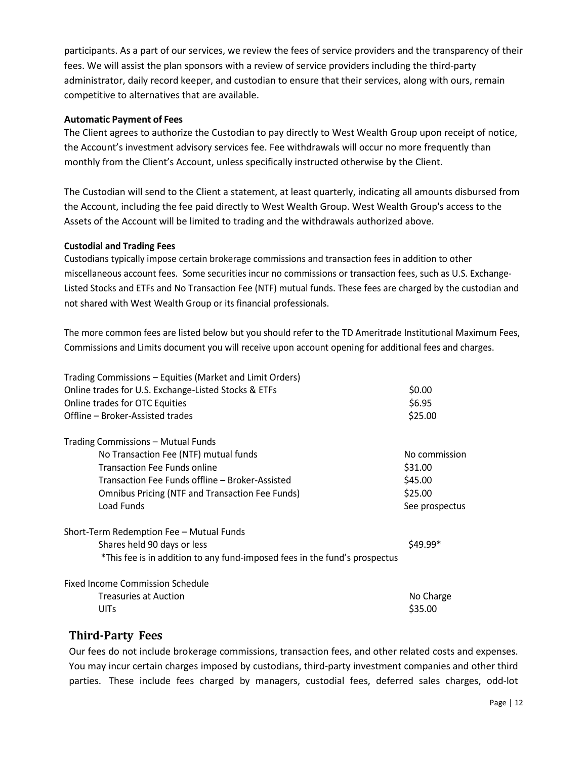participants. As a part of our services, we review the fees of service providers and the transparency of their fees. We will assist the plan sponsors with a review of service providers including the third-party administrator, daily record keeper, and custodian to ensure that their services, along with ours, remain competitive to alternatives that are available.

#### **Automatic Payment of Fees**

The Client agrees to authorize the Custodian to pay directly to West Wealth Group upon receipt of notice, the Account's investment advisory services fee. Fee withdrawals will occur no more frequently than monthly from the Client's Account, unless specifically instructed otherwise by the Client.

The Custodian will send to the Client a statement, at least quarterly, indicating all amounts disbursed from the Account, including the fee paid directly to West Wealth Group. West Wealth Group's access to the Assets of the Account will be limited to trading and the withdrawals authorized above.

#### **Custodial and Trading Fees**

Custodians typically impose certain brokerage commissions and transaction fees in addition to other miscellaneous account fees. Some securities incur no commissions or transaction fees, such as U.S. Exchange-Listed Stocks and ETFs and No Transaction Fee (NTF) mutual funds. These fees are charged by the custodian and not shared with West Wealth Group or its financial professionals.

The more common fees are listed below but you should refer to the TD Ameritrade Institutional Maximum Fees, Commissions and Limits document you will receive upon account opening for additional fees and charges.

| Trading Commissions - Equities (Market and Limit Orders)                   |                |
|----------------------------------------------------------------------------|----------------|
| Online trades for U.S. Exchange-Listed Stocks & ETFs                       | \$0.00         |
| Online trades for OTC Equities                                             | \$6.95         |
| Offline - Broker-Assisted trades                                           | \$25.00        |
| Trading Commissions – Mutual Funds                                         |                |
| No Transaction Fee (NTF) mutual funds                                      | No commission  |
| <b>Transaction Fee Funds online</b>                                        | \$31.00        |
| Transaction Fee Funds offline – Broker-Assisted                            | \$45.00        |
| <b>Omnibus Pricing (NTF and Transaction Fee Funds)</b>                     | \$25.00        |
| Load Funds                                                                 | See prospectus |
| Short-Term Redemption Fee - Mutual Funds                                   |                |
| Shares held 90 days or less                                                | \$49.99*       |
| *This fee is in addition to any fund-imposed fees in the fund's prospectus |                |
| <b>Fixed Income Commission Schedule</b>                                    |                |
| <b>Treasuries at Auction</b>                                               | No Charge      |
| <b>UITs</b>                                                                | \$35.00        |
|                                                                            |                |

### **Third-Party Fees**

Our fees do not include brokerage commissions, transaction fees, and other related costs and expenses. You may incur certain charges imposed by custodians, third-party investment companies and other third parties. These include fees charged by managers, custodial fees, deferred sales charges, odd-lot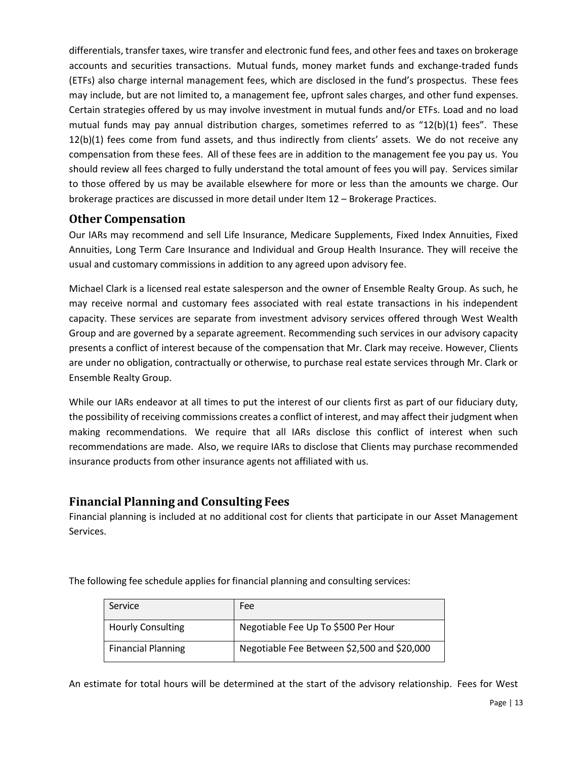differentials, transfer taxes, wire transfer and electronic fund fees, and other fees and taxes on brokerage accounts and securities transactions. Mutual funds, money market funds and exchange-traded funds (ETFs) also charge internal management fees, which are disclosed in the fund's prospectus. These fees may include, but are not limited to, a management fee, upfront sales charges, and other fund expenses. Certain strategies offered by us may involve investment in mutual funds and/or ETFs. Load and no load mutual funds may pay annual distribution charges, sometimes referred to as "12(b)(1) fees". These 12(b)(1) fees come from fund assets, and thus indirectly from clients' assets. We do not receive any compensation from these fees. All of these fees are in addition to the management fee you pay us. You should review all fees charged to fully understand the total amount of fees you will pay. Services similar to those offered by us may be available elsewhere for more or less than the amounts we charge. Our brokerage practices are discussed in more detail under Item 12 – Brokerage Practices.

### **Other Compensation**

Our IARs may recommend and sell Life Insurance, Medicare Supplements, Fixed Index Annuities, Fixed Annuities, Long Term Care Insurance and Individual and Group Health Insurance. They will receive the usual and customary commissions in addition to any agreed upon advisory fee.

Michael Clark is a licensed real estate salesperson and the owner of Ensemble Realty Group. As such, he may receive normal and customary fees associated with real estate transactions in his independent capacity. These services are separate from investment advisory services offered through West Wealth Group and are governed by a separate agreement. Recommending such services in our advisory capacity presents a conflict of interest because of the compensation that Mr. Clark may receive. However, Clients are under no obligation, contractually or otherwise, to purchase real estate services through Mr. Clark or Ensemble Realty Group.

While our IARs endeavor at all times to put the interest of our clients first as part of our fiduciary duty, the possibility of receiving commissions creates a conflict of interest, and may affect their judgment when making recommendations. We require that all IARs disclose this conflict of interest when such recommendations are made. Also, we require IARs to disclose that Clients may purchase recommended insurance products from other insurance agents not affiliated with us.

### **Financial Planning and Consulting Fees**

Financial planning is included at no additional cost for clients that participate in our Asset Management Services.

The following fee schedule applies for financial planning and consulting services:

| Service                   | Fee                                         |
|---------------------------|---------------------------------------------|
| <b>Hourly Consulting</b>  | Negotiable Fee Up To \$500 Per Hour         |
| <b>Financial Planning</b> | Negotiable Fee Between \$2,500 and \$20,000 |

An estimate for total hours will be determined at the start of the advisory relationship. Fees for West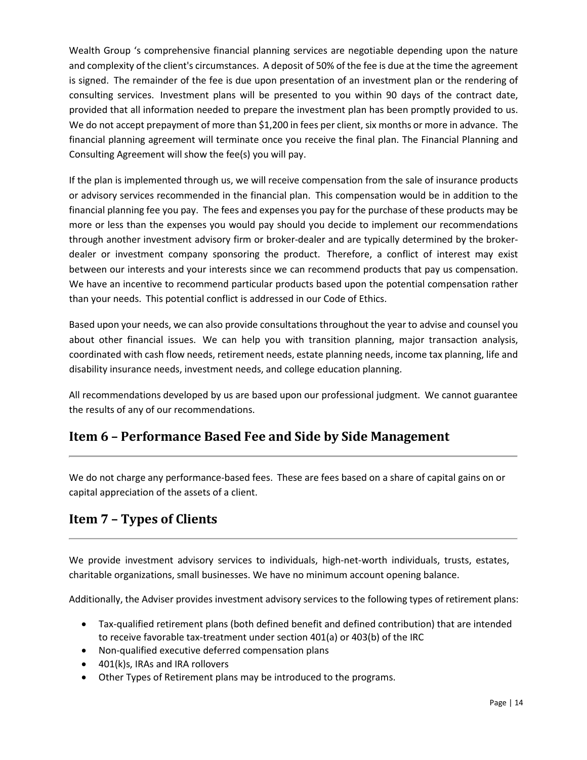Wealth Group 's comprehensive financial planning services are negotiable depending upon the nature and complexity of the client's circumstances. A deposit of 50% of the fee is due at the time the agreement is signed. The remainder of the fee is due upon presentation of an investment plan or the rendering of consulting services. Investment plans will be presented to you within 90 days of the contract date, provided that all information needed to prepare the investment plan has been promptly provided to us. We do not accept prepayment of more than \$1,200 in fees per client, six months or more in advance. The financial planning agreement will terminate once you receive the final plan. The Financial Planning and Consulting Agreement will show the fee(s) you will pay.

If the plan is implemented through us, we will receive compensation from the sale of insurance products or advisory services recommended in the financial plan. This compensation would be in addition to the financial planning fee you pay. The fees and expenses you pay for the purchase of these products may be more or less than the expenses you would pay should you decide to implement our recommendations through another investment advisory firm or broker-dealer and are typically determined by the brokerdealer or investment company sponsoring the product. Therefore, a conflict of interest may exist between our interests and your interests since we can recommend products that pay us compensation. We have an incentive to recommend particular products based upon the potential compensation rather than your needs. This potential conflict is addressed in our Code of Ethics.

Based upon your needs, we can also provide consultations throughout the year to advise and counsel you about other financial issues. We can help you with transition planning, major transaction analysis, coordinated with cash flow needs, retirement needs, estate planning needs, income tax planning, life and disability insurance needs, investment needs, and college education planning.

All recommendations developed by us are based upon our professional judgment. We cannot guarantee the results of any of our recommendations.

# <span id="page-13-0"></span>**Item 6 – Performance Based Fee and Side by Side Management**

We do not charge any performance-based fees. These are fees based on a share of capital gains on or capital appreciation of the assets of a client.

# <span id="page-13-1"></span>**Item 7 – Types of Clients**

We provide investment advisory services to individuals, high-net-worth individuals, trusts, estates, charitable organizations, small businesses. We have no minimum account opening balance.

Additionally, the Adviser provides investment advisory services to the following types of retirement plans:

- Tax-qualified retirement plans (both defined benefit and defined contribution) that are intended to receive favorable tax-treatment under section 401(a) or 403(b) of the IRC
- Non-qualified executive deferred compensation plans
- 401(k)s, IRAs and IRA rollovers
- Other Types of Retirement plans may be introduced to the programs.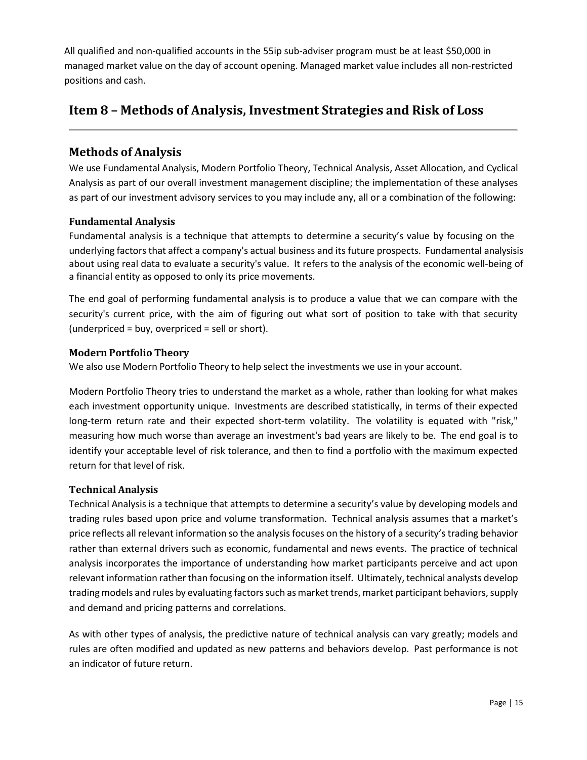All qualified and non-qualified accounts in the 55ip sub-adviser program must be at least \$50,000 in managed market value on the day of account opening. Managed market value includes all non-restricted positions and cash.

# <span id="page-14-0"></span>**Item 8 – Methods of Analysis, Investment Strategies and Risk of Loss**

## **Methods of Analysis**

We use Fundamental Analysis, Modern Portfolio Theory, Technical Analysis, Asset Allocation, and Cyclical Analysis as part of our overall investment management discipline; the implementation of these analyses as part of our investment advisory services to you may include any, all or a combination of the following:

### **Fundamental Analysis**

Fundamental analysis is a technique that attempts to determine a security's value by focusing on the underlying factors that affect a company's actual business and its future prospects. Fundamental analysisis about using real data to evaluate a security's value. It refers to the analysis of the economic well-being of a financial entity as opposed to only its price movements.

The end goal of performing fundamental analysis is to produce a value that we can compare with the security's current price, with the aim of figuring out what sort of position to take with that security (underpriced = buy, overpriced = sell or short).

#### **Modern Portfolio Theory**

We also use Modern Portfolio Theory to help select the investments we use in your account.

Modern Portfolio Theory tries to understand the market as a whole, rather than looking for what makes each investment opportunity unique. Investments are described statistically, in terms of their expected long-term return rate and their expected short-term volatility. The volatility is equated with "risk," measuring how much worse than average an investment's bad years are likely to be. The end goal is to identify your acceptable level of risk tolerance, and then to find a portfolio with the maximum expected return for that level of risk.

#### **Technical Analysis**

Technical Analysis is a technique that attempts to determine a security's value by developing models and trading rules based upon price and volume transformation. Technical analysis assumes that a market's price reflects all relevant information so the analysis focuses on the history of a security's trading behavior rather than external drivers such as economic, fundamental and news events. The practice of technical analysis incorporates the importance of understanding how market participants perceive and act upon relevant information rather than focusing on the information itself. Ultimately, technical analysts develop trading models and rules by evaluating factors such as market trends, market participant behaviors, supply and demand and pricing patterns and correlations.

As with other types of analysis, the predictive nature of technical analysis can vary greatly; models and rules are often modified and updated as new patterns and behaviors develop. Past performance is not an indicator of future return.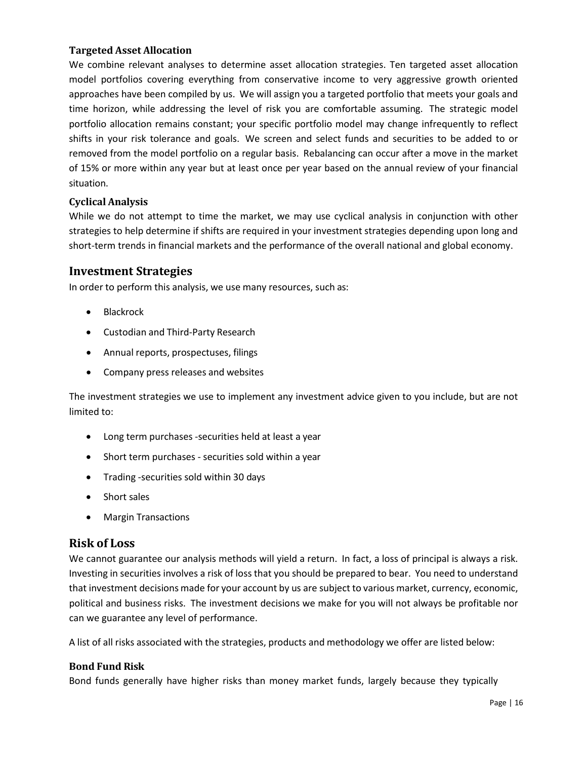#### **Targeted Asset Allocation**

We combine relevant analyses to determine asset allocation strategies. Ten targeted asset allocation model portfolios covering everything from conservative income to very aggressive growth oriented approaches have been compiled by us. We will assign you a targeted portfolio that meets your goals and time horizon, while addressing the level of risk you are comfortable assuming. The strategic model portfolio allocation remains constant; your specific portfolio model may change infrequently to reflect shifts in your risk tolerance and goals. We screen and select funds and securities to be added to or removed from the model portfolio on a regular basis. Rebalancing can occur after a move in the market of 15% or more within any year but at least once per year based on the annual review of your financial situation.

#### **Cyclical Analysis**

While we do not attempt to time the market, we may use cyclical analysis in conjunction with other strategies to help determine if shifts are required in your investment strategies depending upon long and short-term trends in financial markets and the performance of the overall national and global economy.

### **Investment Strategies**

In order to perform this analysis, we use many resources, such as:

- Blackrock
- Custodian and Third-Party Research
- Annual reports, prospectuses, filings
- Company press releases and websites

The investment strategies we use to implement any investment advice given to you include, but are not limited to:

- Long term purchases -securities held at least a year
- Short term purchases securities sold within a year
- Trading -securities sold within 30 days
- Short sales
- Margin Transactions

### **Risk of Loss**

We cannot guarantee our analysis methods will yield a return. In fact, a loss of principal is always a risk. Investing in securities involves a risk of loss that you should be prepared to bear. You need to understand that investment decisions made for your account by us are subject to various market, currency, economic, political and business risks. The investment decisions we make for you will not always be profitable nor can we guarantee any level of performance.

A list of all risks associated with the strategies, products and methodology we offer are listed below:

#### **Bond Fund Risk**

Bond funds generally have higher risks than money market funds, largely because they typically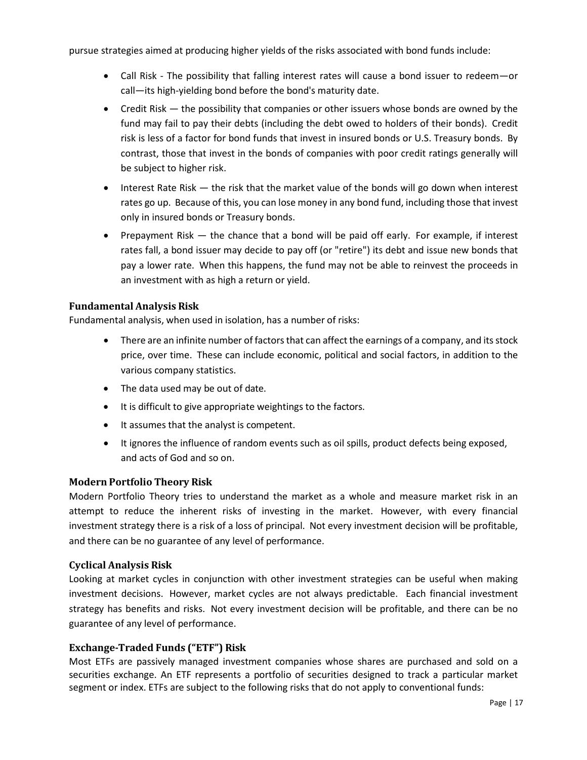pursue strategies aimed at producing higher yields of the risks associated with bond funds include:

- Call Risk The possibility that falling interest rates will cause a bond issuer to redeem—or call—its high-yielding bond before the bond's maturity date.
- Credit Risk the possibility that companies or other issuers whose bonds are owned by the fund may fail to pay their debts (including the debt owed to holders of their bonds). Credit risk is less of a factor for bond funds that invest in insured bonds or U.S. Treasury bonds. By contrast, those that invest in the bonds of companies with poor credit ratings generally will be subject to higher risk.
- Interest Rate Risk the risk that the market value of the bonds will go down when interest rates go up. Because of this, you can lose money in any bond fund, including those that invest only in insured bonds or Treasury bonds.
- Prepayment Risk the chance that a bond will be paid off early. For example, if interest rates fall, a bond issuer may decide to pay off (or "retire") its debt and issue new bonds that pay a lower rate. When this happens, the fund may not be able to reinvest the proceeds in an investment with as high a return or yield.

#### **Fundamental Analysis Risk**

Fundamental analysis, when used in isolation, has a number of risks:

- There are an infinite number of factors that can affect the earnings of a company, and its stock price, over time. These can include economic, political and social factors, in addition to the various company statistics.
- The data used may be out of date.
- It is difficult to give appropriate weightings to the factors.
- It assumes that the analyst is competent.
- It ignores the influence of random events such as oil spills, product defects being exposed, and acts of God and so on.

#### **Modern Portfolio Theory Risk**

Modern Portfolio Theory tries to understand the market as a whole and measure market risk in an attempt to reduce the inherent risks of investing in the market. However, with every financial investment strategy there is a risk of a loss of principal. Not every investment decision will be profitable, and there can be no guarantee of any level of performance.

#### **Cyclical Analysis Risk**

Looking at market cycles in conjunction with other investment strategies can be useful when making investment decisions. However, market cycles are not always predictable. Each financial investment strategy has benefits and risks. Not every investment decision will be profitable, and there can be no guarantee of any level of performance.

#### **Exchange-Traded Funds ("ETF") Risk**

Most ETFs are passively managed investment companies whose shares are purchased and sold on a securities exchange. An ETF represents a portfolio of securities designed to track a particular market segment or index. ETFs are subject to the following risks that do not apply to conventional funds: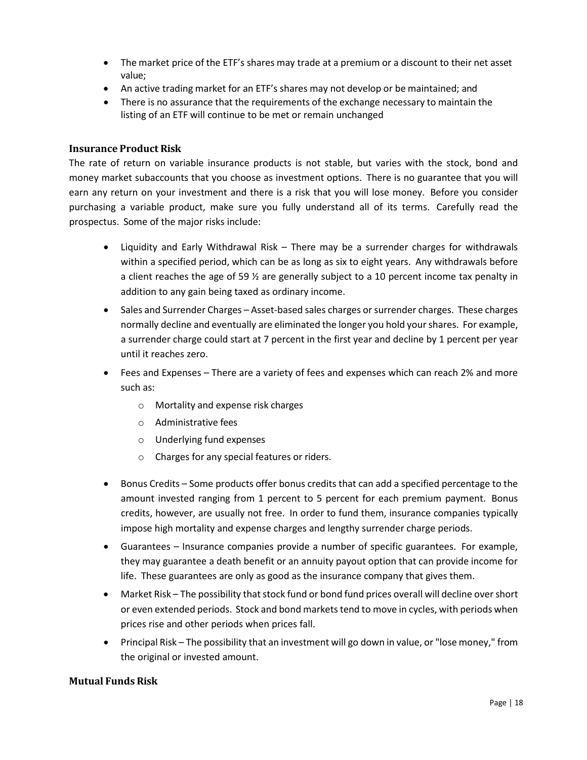- The market price of the ETF's shares may trade at a premium or a discount to their net asset value;
- An active trading market for an ETF's shares may not develop or be maintained; and
- There is no assurance that the requirements of the exchange necessary to maintain the listing of an ETF will continue to be met or remain unchanged

#### **Insurance Product Risk**

The rate of return on variable insurance products is not stable, but varies with the stock, bond and money market subaccounts that you choose as investment options. There is no guarantee that you will earn any return on your investment and there is a risk that you will lose money. Before you consider purchasing a variable product, make sure you fully understand all of its terms. Carefully read the prospectus. Some of the major risks include:

- Liquidity and Early Withdrawal Risk There may be a surrender charges for withdrawals within a specified period, which can be as long as six to eight years. Any withdrawals before a client reaches the age of 59 ½ are generally subject to a 10 percent income tax penalty in addition to any gain being taxed as ordinary income.
- Sales and Surrender Charges Asset-based sales charges or surrender charges. These charges normally decline and eventually are eliminated the longer you hold yourshares. For example, a surrender charge could start at 7 percent in the first year and decline by 1 percent per year until it reaches zero.
- Fees and Expenses There are a variety of fees and expenses which can reach 2% and more such as:
	- o Mortality and expense risk charges
	- o Administrative fees
	- o Underlying fund expenses
	- o Charges for any special features or riders.
- Bonus Credits Some products offer bonus credits that can add a specified percentage to the amount invested ranging from 1 percent to 5 percent for each premium payment. Bonus credits, however, are usually not free. In order to fund them, insurance companies typically impose high mortality and expense charges and lengthy surrender charge periods.
- Guarantees Insurance companies provide a number of specific guarantees. For example, they may guarantee a death benefit or an annuity payout option that can provide income for life. These guarantees are only as good as the insurance company that gives them.
- Market Risk The possibility that stock fund or bond fund prices overall will decline over short or even extended periods. Stock and bond markets tend to move in cycles, with periods when prices rise and other periods when prices fall.
- Principal Risk The possibility that an investment will go down in value, or "lose money," from the original or invested amount.

#### **Mutual Funds Risk**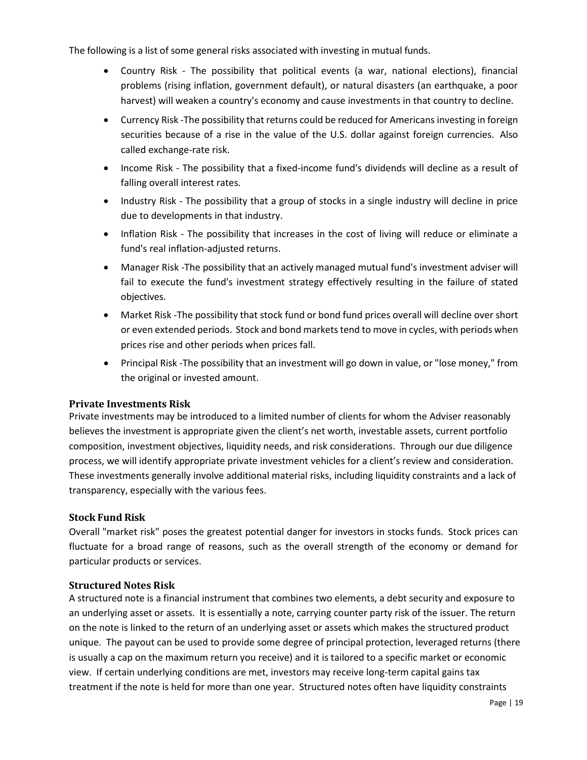The following is a list of some general risks associated with investing in mutual funds.

- Country Risk The possibility that political events (a war, national elections), financial problems (rising inflation, government default), or natural disasters (an earthquake, a poor harvest) will weaken a country's economy and cause investments in that country to decline.
- Currency Risk -The possibility that returns could be reduced for Americans investing in foreign securities because of a rise in the value of the U.S. dollar against foreign currencies. Also called exchange-rate risk.
- Income Risk The possibility that a fixed-income fund's dividends will decline as a result of falling overall interest rates.
- Industry Risk The possibility that a group of stocks in a single industry will decline in price due to developments in that industry.
- Inflation Risk The possibility that increases in the cost of living will reduce or eliminate a fund's real inflation-adjusted returns.
- Manager Risk -The possibility that an actively managed mutual fund's investment adviser will fail to execute the fund's investment strategy effectively resulting in the failure of stated objectives.
- Market Risk -The possibility that stock fund or bond fund prices overall will decline over short or even extended periods. Stock and bond markets tend to move in cycles, with periods when prices rise and other periods when prices fall.
- Principal Risk -The possibility that an investment will go down in value, or "lose money," from the original or invested amount.

#### **Private Investments Risk**

Private investments may be introduced to a limited number of clients for whom the Adviser reasonably believes the investment is appropriate given the client's net worth, investable assets, current portfolio composition, investment objectives, liquidity needs, and risk considerations. Through our due diligence process, we will identify appropriate private investment vehicles for a client's review and consideration. These investments generally involve additional material risks, including liquidity constraints and a lack of transparency, especially with the various fees.

#### **Stock Fund Risk**

Overall "market risk" poses the greatest potential danger for investors in stocks funds. Stock prices can fluctuate for a broad range of reasons, such as the overall strength of the economy or demand for particular products or services.

#### **Structured Notes Risk**

A structured note is a financial instrument that combines two elements, a debt security and exposure to an underlying asset or assets. It is essentially a note, carrying counter party risk of the issuer. The return on the note is linked to the return of an underlying asset or assets which makes the structured product unique. The payout can be used to provide some degree of principal protection, leveraged returns (there is usually a cap on the maximum return you receive) and it is tailored to a specific market or economic view. If certain underlying conditions are met, investors may receive long-term capital gains tax treatment if the note is held for more than one year. Structured notes often have liquidity constraints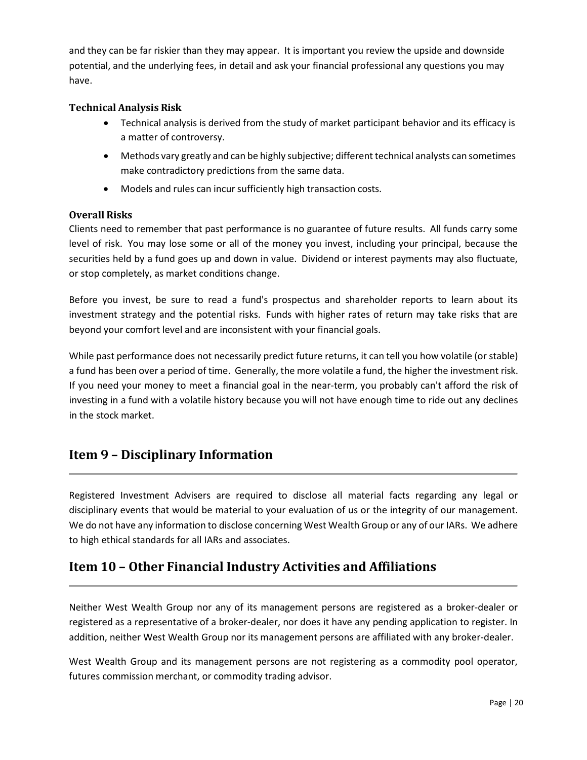and they can be far riskier than they may appear. It is important you review the upside and downside potential, and the underlying fees, in detail and ask your financial professional any questions you may have.

#### **Technical Analysis Risk**

- Technical analysis is derived from the study of market participant behavior and its efficacy is a matter of controversy.
- Methods vary greatly and can be highly subjective; different technical analysts can sometimes make contradictory predictions from the same data.
- Models and rules can incursufficiently high transaction costs.

#### **Overall Risks**

Clients need to remember that past performance is no guarantee of future results. All funds carry some level of risk. You may lose some or all of the money you invest, including your principal, because the securities held by a fund goes up and down in value. Dividend or interest payments may also fluctuate, or stop completely, as market conditions change.

Before you invest, be sure to read a fund's prospectus and shareholder reports to learn about its investment strategy and the potential risks. Funds with higher rates of return may take risks that are beyond your comfort level and are inconsistent with your financial goals.

While past performance does not necessarily predict future returns, it can tell you how volatile (or stable) a fund has been over a period of time. Generally, the more volatile a fund, the higher the investment risk. If you need your money to meet a financial goal in the near-term, you probably can't afford the risk of investing in a fund with a volatile history because you will not have enough time to ride out any declines in the stock market.

# <span id="page-19-0"></span>**Item 9 – Disciplinary Information**

Registered Investment Advisers are required to disclose all material facts regarding any legal or disciplinary events that would be material to your evaluation of us or the integrity of our management. We do not have any information to disclose concerning West Wealth Group or any of our IARs. We adhere to high ethical standards for all IARs and associates.

# <span id="page-19-1"></span>**Item 10 – Other Financial Industry Activities and Affiliations**

Neither West Wealth Group nor any of its management persons are registered as a broker-dealer or registered as a representative of a broker-dealer, nor does it have any pending application to register. In addition, neither West Wealth Group nor its management persons are affiliated with any broker-dealer.

West Wealth Group and its management persons are not registering as a commodity pool operator, futures commission merchant, or commodity trading advisor.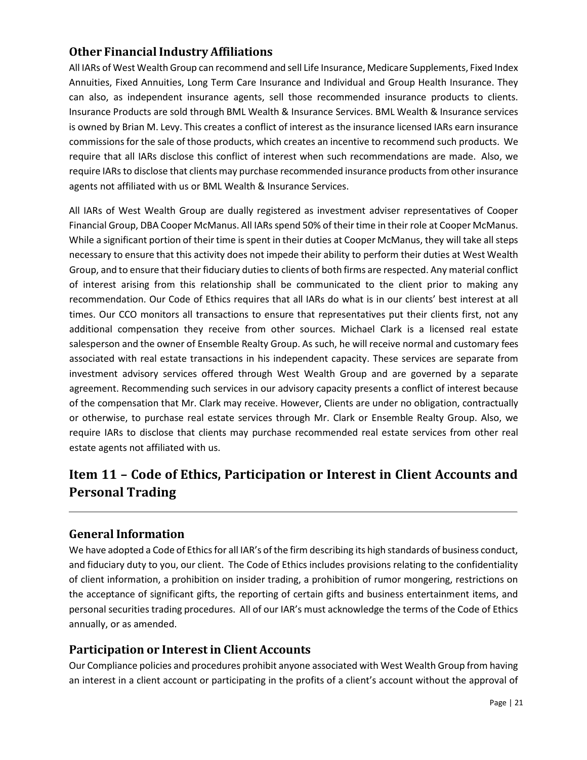# **Other FinancialIndustry Affiliations**

All IARs of West Wealth Group can recommend and sell Life Insurance, Medicare Supplements, Fixed Index Annuities, Fixed Annuities, Long Term Care Insurance and Individual and Group Health Insurance. They can also, as independent insurance agents, sell those recommended insurance products to clients. Insurance Products are sold through BML Wealth & Insurance Services. BML Wealth & Insurance services is owned by Brian M. Levy. This creates a conflict of interest as the insurance licensed IARs earn insurance commissions for the sale of those products, which creates an incentive to recommend such products. We require that all IARs disclose this conflict of interest when such recommendations are made. Also, we require IARs to disclose that clients may purchase recommended insurance products from other insurance agents not affiliated with us or BML Wealth & Insurance Services.

All IARs of West Wealth Group are dually registered as investment adviser representatives of Cooper Financial Group, DBA Cooper McManus. All IARsspend 50% of their time in their role at Cooper McManus. While a significant portion of their time is spent in their duties at Cooper McManus, they will take allsteps necessary to ensure that this activity does not impede their ability to perform their duties at West Wealth Group, and to ensure that their fiduciary dutiesto clients of both firms are respected. Any material conflict of interest arising from this relationship shall be communicated to the client prior to making any recommendation. Our Code of Ethics requires that all IARs do what is in our clients' best interest at all times. Our CCO monitors all transactions to ensure that representatives put their clients first, not any additional compensation they receive from other sources. Michael Clark is a licensed real estate salesperson and the owner of Ensemble Realty Group. As such, he will receive normal and customary fees associated with real estate transactions in his independent capacity. These services are separate from investment advisory services offered through West Wealth Group and are governed by a separate agreement. Recommending such services in our advisory capacity presents a conflict of interest because of the compensation that Mr. Clark may receive. However, Clients are under no obligation, contractually or otherwise, to purchase real estate services through Mr. Clark or Ensemble Realty Group. Also, we require IARs to disclose that clients may purchase recommended real estate services from other real estate agents not affiliated with us.

# <span id="page-20-0"></span>**Item 11 – Code of Ethics, Participation or Interest in Client Accounts and Personal Trading**

# **GeneralInformation**

We have adopted a Code of Ethics for all IAR's of the firm describing its high standards of business conduct, and fiduciary duty to you, our client. The Code of Ethics includes provisions relating to the confidentiality of client information, a prohibition on insider trading, a prohibition of rumor mongering, restrictions on the acceptance of significant gifts, the reporting of certain gifts and business entertainment items, and personal securities trading procedures. All of our IAR's must acknowledge the terms of the Code of Ethics annually, or as amended.

### **Participation or Interestin Client Accounts**

Our Compliance policies and procedures prohibit anyone associated with West Wealth Group from having an interest in a client account or participating in the profits of a client's account without the approval of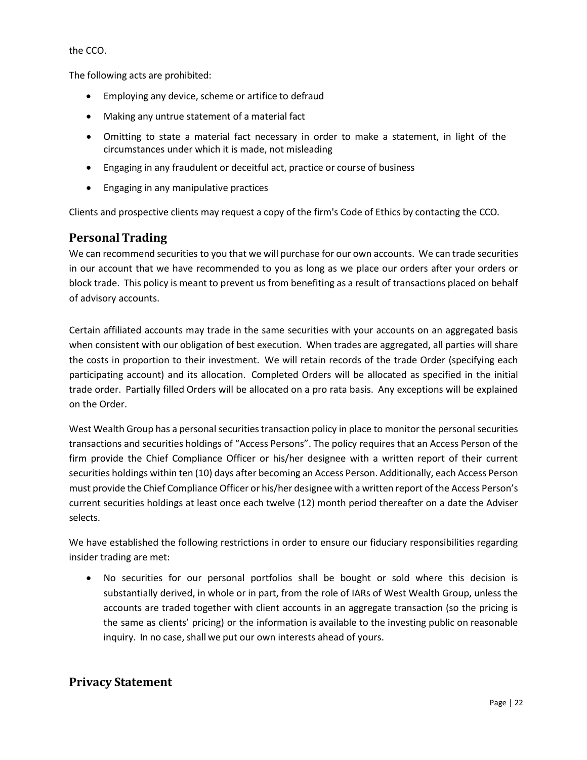the CCO.

The following acts are prohibited:

- Employing any device, scheme or artifice to defraud
- Making any untrue statement of a material fact
- Omitting to state a material fact necessary in order to make a statement, in light of the circumstances under which it is made, not misleading
- Engaging in any fraudulent or deceitful act, practice or course of business
- Engaging in any manipulative practices

Clients and prospective clients may request a copy of the firm's Code of Ethics by contacting the CCO.

### **Personal Trading**

We can recommend securities to you that we will purchase for our own accounts. We can trade securities in our account that we have recommended to you as long as we place our orders after your orders or block trade. This policy is meant to prevent us from benefiting as a result of transactions placed on behalf of advisory accounts.

Certain affiliated accounts may trade in the same securities with your accounts on an aggregated basis when consistent with our obligation of best execution. When trades are aggregated, all parties will share the costs in proportion to their investment. We will retain records of the trade Order (specifying each participating account) and its allocation. Completed Orders will be allocated as specified in the initial trade order. Partially filled Orders will be allocated on a pro rata basis. Any exceptions will be explained on the Order.

West Wealth Group has a personal securities transaction policy in place to monitor the personal securities transactions and securities holdings of "Access Persons". The policy requires that an Access Person of the firm provide the Chief Compliance Officer or his/her designee with a written report of their current securities holdings within ten (10) days after becoming an Access Person. Additionally, each Access Person must provide the Chief Compliance Officer or his/her designee with a written report ofthe Access Person's current securities holdings at least once each twelve (12) month period thereafter on a date the Adviser selects.

We have established the following restrictions in order to ensure our fiduciary responsibilities regarding insider trading are met:

• No securities for our personal portfolios shall be bought or sold where this decision is substantially derived, in whole or in part, from the role of IARs of West Wealth Group, unless the accounts are traded together with client accounts in an aggregate transaction (so the pricing is the same as clients' pricing) or the information is available to the investing public on reasonable inquiry. In no case, shall we put our own interests ahead of yours.

### **Privacy Statement**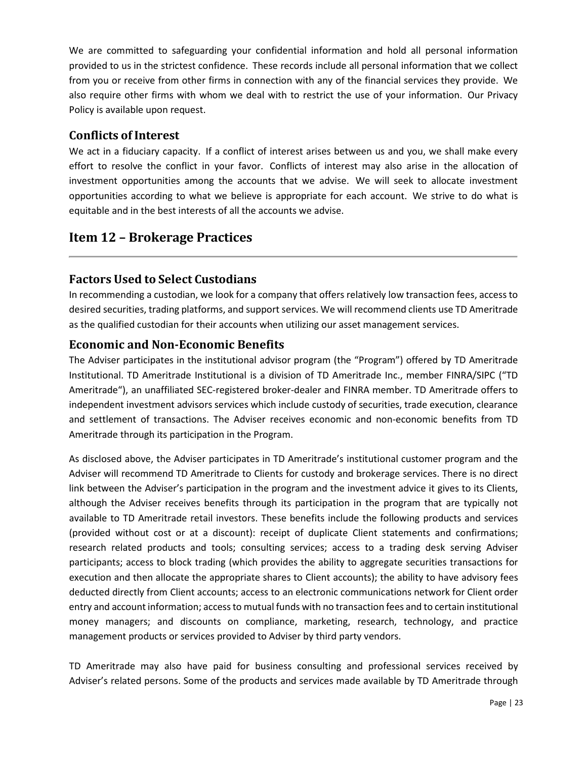We are committed to safeguarding your confidential information and hold all personal information provided to us in the strictest confidence. These records include all personal information that we collect from you or receive from other firms in connection with any of the financial services they provide. We also require other firms with whom we deal with to restrict the use of your information. Our Privacy Policy is available upon request.

### **Conflicts of Interest**

We act in a fiduciary capacity. If a conflict of interest arises between us and you, we shall make every effort to resolve the conflict in your favor. Conflicts of interest may also arise in the allocation of investment opportunities among the accounts that we advise. We will seek to allocate investment opportunities according to what we believe is appropriate for each account. We strive to do what is equitable and in the best interests of all the accounts we advise.

# <span id="page-22-0"></span>**Item 12 – Brokerage Practices**

### **Factors Used to Select Custodians**

In recommending a custodian, we look for a company that offers relatively low transaction fees, access to desired securities, trading platforms, and support services. We will recommend clients use TD Ameritrade as the qualified custodian for their accounts when utilizing our asset management services.

### **Economic and Non-Economic Benefits**

The Adviser participates in the institutional advisor program (the "Program") offered by TD Ameritrade Institutional. TD Ameritrade Institutional is a division of TD Ameritrade Inc., member FINRA/SIPC ("TD Ameritrade"), an unaffiliated SEC-registered broker-dealer and FINRA member. TD Ameritrade offers to independent investment advisors services which include custody of securities, trade execution, clearance and settlement of transactions. The Adviser receives economic and non-economic benefits from TD Ameritrade through its participation in the Program.

As disclosed above, the Adviser participates in TD Ameritrade's institutional customer program and the Adviser will recommend TD Ameritrade to Clients for custody and brokerage services. There is no direct link between the Adviser's participation in the program and the investment advice it gives to its Clients, although the Adviser receives benefits through its participation in the program that are typically not available to TD Ameritrade retail investors. These benefits include the following products and services (provided without cost or at a discount): receipt of duplicate Client statements and confirmations; research related products and tools; consulting services; access to a trading desk serving Adviser participants; access to block trading (which provides the ability to aggregate securities transactions for execution and then allocate the appropriate shares to Client accounts); the ability to have advisory fees deducted directly from Client accounts; access to an electronic communications network for Client order entry and account information; accessto mutual funds with no transaction fees and to certain institutional money managers; and discounts on compliance, marketing, research, technology, and practice management products or services provided to Adviser by third party vendors.

TD Ameritrade may also have paid for business consulting and professional services received by Adviser's related persons. Some of the products and services made available by TD Ameritrade through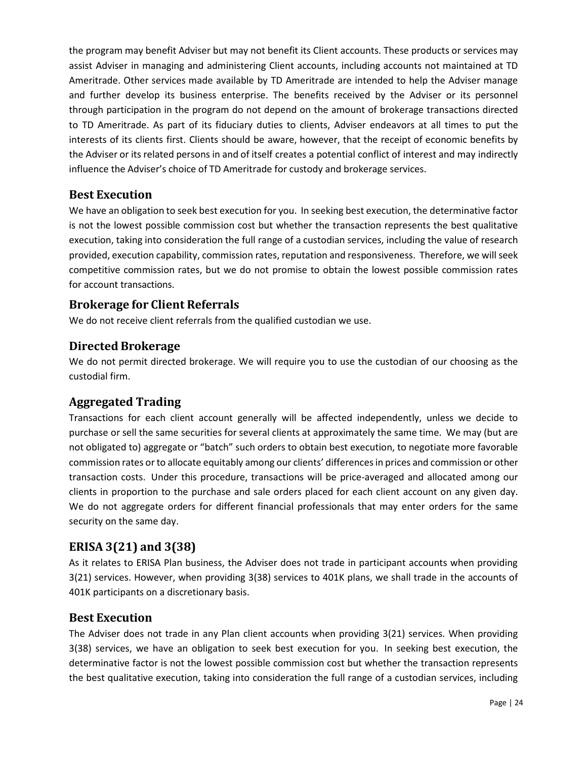the program may benefit Adviser but may not benefit its Client accounts. These products or services may assist Adviser in managing and administering Client accounts, including accounts not maintained at TD Ameritrade. Other services made available by TD Ameritrade are intended to help the Adviser manage and further develop its business enterprise. The benefits received by the Adviser or its personnel through participation in the program do not depend on the amount of brokerage transactions directed to TD Ameritrade. As part of its fiduciary duties to clients, Adviser endeavors at all times to put the interests of its clients first. Clients should be aware, however, that the receipt of economic benefits by the Adviser or its related persons in and of itself creates a potential conflict of interest and may indirectly influence the Adviser's choice of TD Ameritrade for custody and brokerage services.

### **Best Execution**

We have an obligation to seek best execution for you. In seeking best execution, the determinative factor is not the lowest possible commission cost but whether the transaction represents the best qualitative execution, taking into consideration the full range of a custodian services, including the value of research provided, execution capability, commission rates, reputation and responsiveness. Therefore, we will seek competitive commission rates, but we do not promise to obtain the lowest possible commission rates for account transactions.

### **Brokerage for Client Referrals**

We do not receive client referrals from the qualified custodian we use.

### **Directed Brokerage**

We do not permit directed brokerage. We will require you to use the custodian of our choosing as the custodial firm.

### **Aggregated Trading**

Transactions for each client account generally will be affected independently, unless we decide to purchase or sell the same securities for several clients at approximately the same time. We may (but are not obligated to) aggregate or "batch" such orders to obtain best execution, to negotiate more favorable commission rates or to allocate equitably among our clients' differences in prices and commission or other transaction costs. Under this procedure, transactions will be price-averaged and allocated among our clients in proportion to the purchase and sale orders placed for each client account on any given day. We do not aggregate orders for different financial professionals that may enter orders for the same security on the same day.

### **ERISA 3(21) and 3(38)**

As it relates to ERISA Plan business, the Adviser does not trade in participant accounts when providing 3(21) services. However, when providing 3(38) services to 401K plans, we shall trade in the accounts of 401K participants on a discretionary basis.

#### **Best Execution**

The Adviser does not trade in any Plan client accounts when providing 3(21) services. When providing 3(38) services, we have an obligation to seek best execution for you. In seeking best execution, the determinative factor is not the lowest possible commission cost but whether the transaction represents the best qualitative execution, taking into consideration the full range of a custodian services, including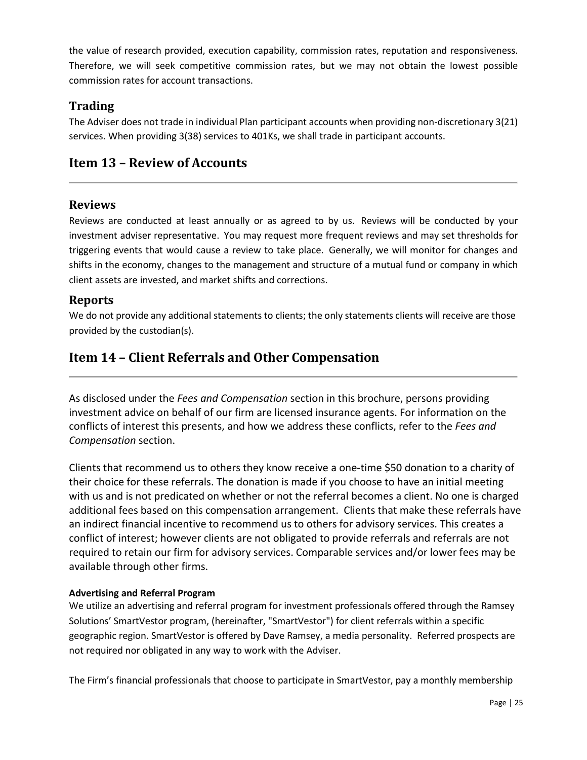the value of research provided, execution capability, commission rates, reputation and responsiveness. Therefore, we will seek competitive commission rates, but we may not obtain the lowest possible commission rates for account transactions.

### **Trading**

The Adviser does not trade in individual Plan participant accounts when providing non-discretionary 3(21) services. When providing 3(38) services to 401Ks, we shall trade in participant accounts.

# <span id="page-24-0"></span>**Item 13 – Review of Accounts**

### **Reviews**

Reviews are conducted at least annually or as agreed to by us. Reviews will be conducted by your investment adviser representative. You may request more frequent reviews and may set thresholds for triggering events that would cause a review to take place. Generally, we will monitor for changes and shifts in the economy, changes to the management and structure of a mutual fund or company in which client assets are invested, and market shifts and corrections.

### **Reports**

We do not provide any additional statements to clients; the only statements clients will receive are those provided by the custodian(s).

# <span id="page-24-1"></span>**Item 14 – Client Referrals and Other Compensation**

As disclosed under the *Fees and Compensation* section in this brochure, persons providing investment advice on behalf of our firm are licensed insurance agents. For information on the conflicts of interest this presents, and how we address these conflicts, refer to the *Fees and Compensation* section.

Clients that recommend us to others they know receive a one-time \$50 donation to a charity of their choice for these referrals. The donation is made if you choose to have an initial meeting with us and is not predicated on whether or not the referral becomes a client. No one is charged additional fees based on this compensation arrangement. Clients that make these referrals have an indirect financial incentive to recommend us to others for advisory services. This creates a conflict of interest; however clients are not obligated to provide referrals and referrals are not required to retain our firm for advisory services. Comparable services and/or lower fees may be available through other firms.

#### **Advertising and Referral Program**

We utilize an advertising and referral program for investment professionals offered through the Ramsey Solutions' SmartVestor program, (hereinafter, "SmartVestor") for client referrals within a specific geographic region. SmartVestor is offered by Dave Ramsey, a media personality. Referred prospects are not required nor obligated in any way to work with the Adviser.

The Firm's financial professionals that choose to participate in SmartVestor, pay a monthly membership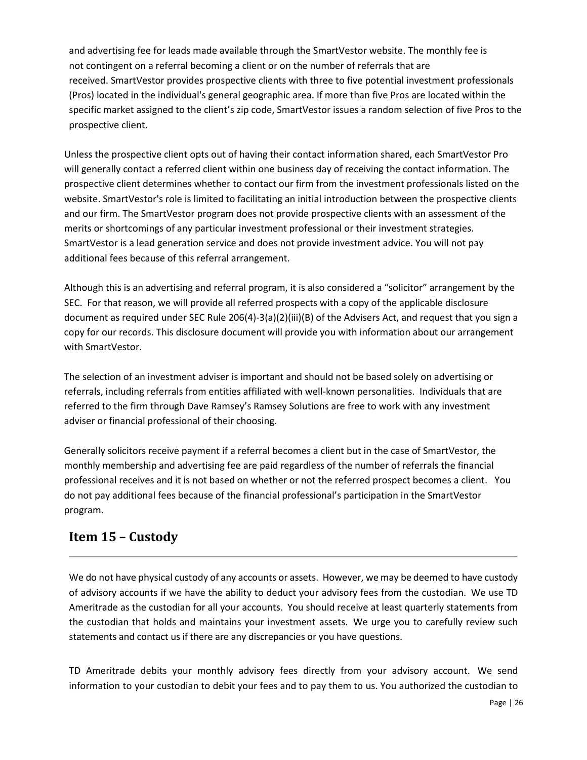and advertising fee for leads made available through the SmartVestor website. The monthly fee is not contingent on a referral becoming a client or on the number of referrals that are received. SmartVestor provides prospective clients with three to five potential investment professionals (Pros) located in the individual's general geographic area. If more than five Pros are located within the specific market assigned to the client's zip code, SmartVestor issues a random selection of five Pros to the prospective client.

Unless the prospective client opts out of having their contact information shared, each SmartVestor Pro will generally contact a referred client within one business day of receiving the contact information. The prospective client determines whether to contact our firm from the investment professionals listed on the website. SmartVestor's role is limited to facilitating an initial introduction between the prospective clients and our firm. The SmartVestor program does not provide prospective clients with an assessment of the merits or shortcomings of any particular investment professional or their investment strategies. SmartVestor is a lead generation service and does not provide investment advice. You will not pay additional fees because of this referral arrangement.

Although this is an advertising and referral program, it is also considered a "solicitor" arrangement by the SEC. For that reason, we will provide all referred prospects with a copy of the applicable disclosure document as required under SEC Rule 206(4)-3(a)(2)(iii)(B) of the Advisers Act, and request that you sign a copy for our records. This disclosure document will provide you with information about our arrangement with SmartVestor.

The selection of an investment adviser is important and should not be based solely on advertising or referrals, including referrals from entities affiliated with well-known personalities. Individuals that are referred to the firm through Dave Ramsey's Ramsey Solutions are free to work with any investment adviser or financial professional of their choosing.

Generally solicitors receive payment if a referral becomes a client but in the case of SmartVestor, the monthly membership and advertising fee are paid regardless of the number of referrals the financial professional receives and it is not based on whether or not the referred prospect becomes a client. You do not pay additional fees because of the financial professional's participation in the SmartVestor program.

# <span id="page-25-0"></span>**Item 15 – Custody**

We do not have physical custody of any accounts or assets. However, we may be deemed to have custody of advisory accounts if we have the ability to deduct your advisory fees from the custodian. We use TD Ameritrade as the custodian for all your accounts. You should receive at least quarterly statements from the custodian that holds and maintains your investment assets. We urge you to carefully review such statements and contact us if there are any discrepancies or you have questions.

TD Ameritrade debits your monthly advisory fees directly from your advisory account. We send information to your custodian to debit your fees and to pay them to us. You authorized the custodian to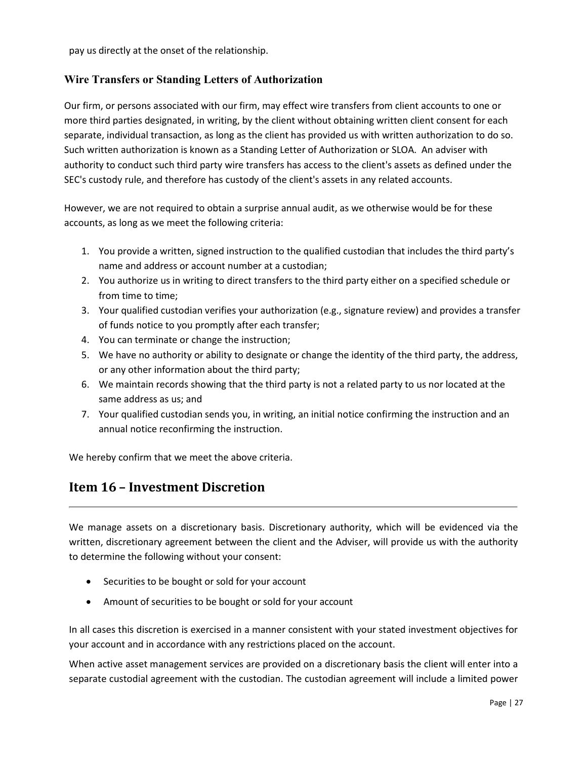pay us directly at the onset of the relationship.

#### **Wire Transfers or Standing Letters of Authorization**

Our firm, or persons associated with our firm, may effect wire transfers from client accounts to one or more third parties designated, in writing, by the client without obtaining written client consent for each separate, individual transaction, as long as the client has provided us with written authorization to do so. Such written authorization is known as a Standing Letter of Authorization or SLOA. An adviser with authority to conduct such third party wire transfers has access to the client's assets as defined under the SEC's custody rule, and therefore has custody of the client's assets in any related accounts.

However, we are not required to obtain a surprise annual audit, as we otherwise would be for these accounts, as long as we meet the following criteria:

- 1. You provide a written, signed instruction to the qualified custodian that includes the third party's name and address or account number at a custodian;
- 2. You authorize us in writing to direct transfers to the third party either on a specified schedule or from time to time;
- 3. Your qualified custodian verifies your authorization (e.g., signature review) and provides a transfer of funds notice to you promptly after each transfer;
- 4. You can terminate or change the instruction;
- 5. We have no authority or ability to designate or change the identity of the third party, the address, or any other information about the third party;
- 6. We maintain records showing that the third party is not a related party to us nor located at the same address as us; and
- 7. Your qualified custodian sends you, in writing, an initial notice confirming the instruction and an annual notice reconfirming the instruction.

<span id="page-26-0"></span>We hereby confirm that we meet the above criteria.

# <span id="page-26-1"></span>**Item 16 – Investment Discretion**

We manage assets on a discretionary basis. Discretionary authority, which will be evidenced via the written, discretionary agreement between the client and the Adviser, will provide us with the authority to determine the following without your consent:

- Securities to be bought or sold for your account
- Amount of securities to be bought or sold for your account

In all cases this discretion is exercised in a manner consistent with your stated investment objectives for your account and in accordance with any restrictions placed on the account.

When active asset management services are provided on a discretionary basis the client will enter into a separate custodial agreement with the custodian. The custodian agreement will include a limited power